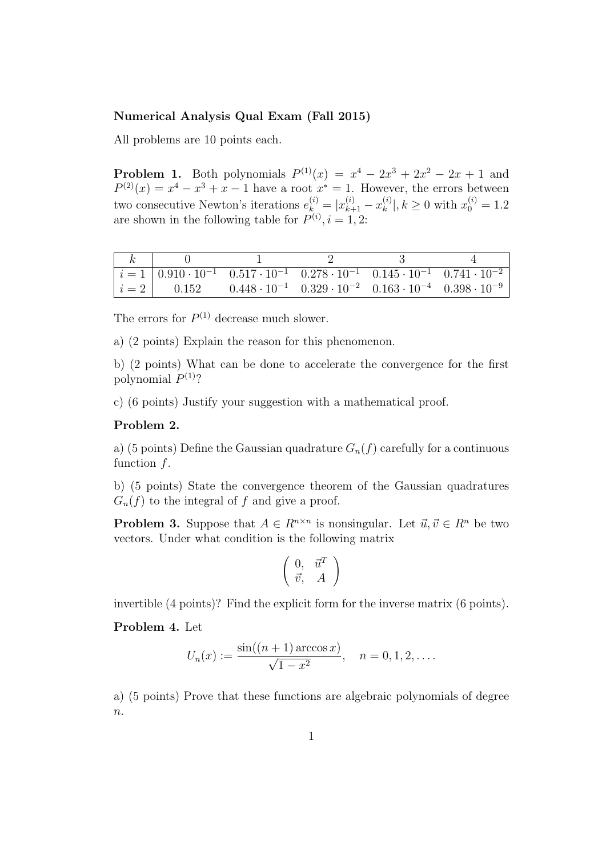## Numerical Analysis Qual Exam (Fall 2015)

All problems are 10 points each.

**Problem 1.** Both polynomials  $P^{(1)}(x) = x^4 - 2x^3 + 2x^2 - 2x + 1$  and  $P^{(2)}(x) = x^4 - x^3 + x - 1$  have a root  $x^* = 1$ . However, the errors between two consecutive Newton's iterations  $e_{k}^{(i)} = |x_{k+1}^{(i)} - x_k^{(i)}|$  $\binom{i}{k}$ ,  $k \ge 0$  with  $x_0^{(i)} = 1.2$ are shown in the following table for  $P^{(i)}$ ,  $i = 1, 2$ :

|  | $\begin{vmatrix} i = 1 & 0.910 \cdot 10^{-1} & 0.517 \cdot 10^{-1} & 0.278 \cdot 10^{-1} & 0.145 \cdot 10^{-1} & 0.741 \cdot 10^{-2} \end{vmatrix}$ |  |
|--|-----------------------------------------------------------------------------------------------------------------------------------------------------|--|
|  | $\begin{vmatrix} i = 2 \end{vmatrix}$ 0.152 0.448 0.10 <sup>-1</sup> 0.329 0.10 <sup>-2</sup> 0.163 0.10 <sup>-4</sup> 0.398 0.10 <sup>-9</sup>     |  |

The errors for  $P^{(1)}$  decrease much slower.

a) (2 points) Explain the reason for this phenomenon.

b) (2 points) What can be done to accelerate the convergence for the first polynomial  $P^{(1)}$ ?

c) (6 points) Justify your suggestion with a mathematical proof.

## Problem 2.

a) (5 points) Define the Gaussian quadrature  $G_n(f)$  carefully for a continuous function f.

b) (5 points) State the convergence theorem of the Gaussian quadratures  $G_n(f)$  to the integral of f and give a proof.

**Problem 3.** Suppose that  $A \in R^{n \times n}$  is nonsingular. Let  $\vec{u}, \vec{v} \in R^n$  be two vectors. Under what condition is the following matrix

$$
\left(\begin{array}{cc} 0, & \vec{u}^T \\ \vec{v}, & A \end{array}\right)
$$

invertible (4 points)? Find the explicit form for the inverse matrix (6 points).

Problem 4. Let

$$
U_n(x) := \frac{\sin((n+1)\arccos x)}{\sqrt{1-x^2}}, \quad n = 0, 1, 2, \dots.
$$

a) (5 points) Prove that these functions are algebraic polynomials of degree  $n$ .